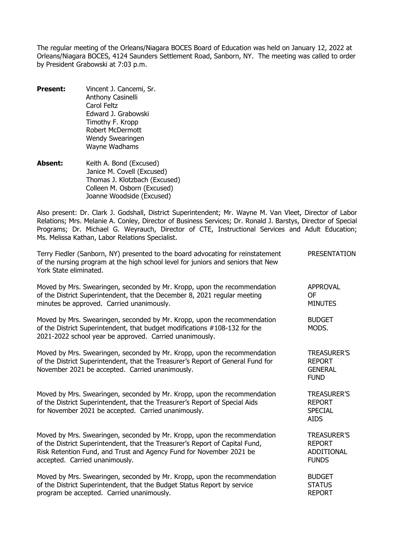The regular meeting of the Orleans/Niagara BOCES Board of Education was held on January 12, 2022 at Orleans/Niagara BOCES, 4124 Saunders Settlement Road, Sanborn, NY. The meeting was called to order by President Grabowski at 7:03 p.m.

- **Present:** Vincent J. Cancemi, Sr. Anthony Casinelli Carol Feltz Edward J. Grabowski Timothy F. Kropp Robert McDermott Wendy Swearingen Wayne Wadhams
- Absent: Keith A. Bond (Excused) Janice M. Covell (Excused) Thomas J. Klotzbach (Excused) Colleen M. Osborn (Excused) Joanne Woodside (Excused)

Also present: Dr. Clark J. Godshall, District Superintendent; Mr. Wayne M. Van Vleet, Director of Labor Relations; Mrs. Melanie A. Conley, Director of Business Services; Dr. Ronald J. Barstys, Director of Special Programs; Dr. Michael G. Weyrauch, Director of CTE, Instructional Services and Adult Education; Ms. Melissa Kathan, Labor Relations Specialist.

| Terry Fiedler (Sanborn, NY) presented to the board advocating for reinstatement<br>of the nursing program at the high school level for juniors and seniors that New<br>York State eliminated.                                                                     | <b>PRESENTATION</b>                                                      |
|-------------------------------------------------------------------------------------------------------------------------------------------------------------------------------------------------------------------------------------------------------------------|--------------------------------------------------------------------------|
| Moved by Mrs. Swearingen, seconded by Mr. Kropp, upon the recommendation<br>of the District Superintendent, that the December 8, 2021 regular meeting<br>minutes be approved. Carried unanimously.                                                                | <b>APPROVAL</b><br>0F<br><b>MINUTES</b>                                  |
| Moved by Mrs. Swearingen, seconded by Mr. Kropp, upon the recommendation<br>of the District Superintendent, that budget modifications #108-132 for the<br>2021-2022 school year be approved. Carried unanimously.                                                 | <b>BUDGET</b><br>MODS.                                                   |
| Moved by Mrs. Swearingen, seconded by Mr. Kropp, upon the recommendation<br>of the District Superintendent, that the Treasurer's Report of General Fund for<br>November 2021 be accepted. Carried unanimously.                                                    | <b>TREASURER'S</b><br><b>REPORT</b><br><b>GENERAL</b><br><b>FUND</b>     |
| Moved by Mrs. Swearingen, seconded by Mr. Kropp, upon the recommendation<br>of the District Superintendent, that the Treasurer's Report of Special Aids<br>for November 2021 be accepted. Carried unanimously.                                                    | <b>TREASURER'S</b><br><b>REPORT</b><br><b>SPECIAL</b><br><b>AIDS</b>     |
| Moved by Mrs. Swearingen, seconded by Mr. Kropp, upon the recommendation<br>of the District Superintendent, that the Treasurer's Report of Capital Fund,<br>Risk Retention Fund, and Trust and Agency Fund for November 2021 be<br>accepted. Carried unanimously. | <b>TREASURER'S</b><br><b>REPORT</b><br><b>ADDITIONAL</b><br><b>FUNDS</b> |
| Moved by Mrs. Swearingen, seconded by Mr. Kropp, upon the recommendation<br>of the District Superintendent, that the Budget Status Report by service<br>program be accepted. Carried unanimously.                                                                 | <b>BUDGET</b><br><b>STATUS</b><br><b>REPORT</b>                          |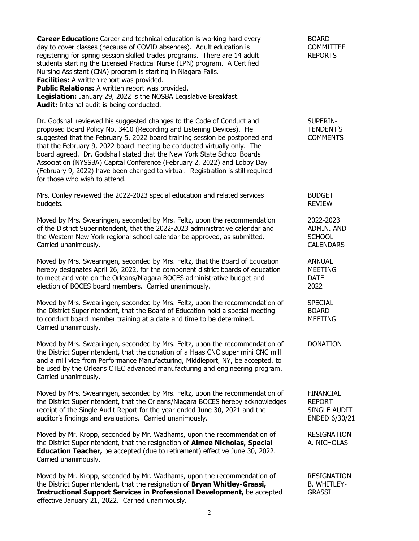| <b>Career Education:</b> Career and technical education is working hard every<br>day to cover classes (because of COVID absences). Adult education is<br>registering for spring session skilled trades programs. There are 14 adult<br>students starting the Licensed Practical Nurse (LPN) program. A Certified<br>Nursing Assistant (CNA) program is starting in Niagara Falls.<br>Facilities: A written report was provided.<br>Public Relations: A written report was provided.<br>Legislation: January 29, 2022 is the NOSBA Legislative Breakfast.<br>Audit: Internal audit is being conducted. | <b>BOARD</b><br><b>COMMITTEE</b><br><b>REPORTS</b>                 |
|-------------------------------------------------------------------------------------------------------------------------------------------------------------------------------------------------------------------------------------------------------------------------------------------------------------------------------------------------------------------------------------------------------------------------------------------------------------------------------------------------------------------------------------------------------------------------------------------------------|--------------------------------------------------------------------|
| Dr. Godshall reviewed his suggested changes to the Code of Conduct and<br>proposed Board Policy No. 3410 (Recording and Listening Devices). He<br>suggested that the February 5, 2022 board training session be postponed and<br>that the February 9, 2022 board meeting be conducted virtually only. The<br>board agreed. Dr. Godshall stated that the New York State School Boards<br>Association (NYSSBA) Capital Conference (February 2, 2022) and Lobby Day<br>(February 9, 2022) have been changed to virtual. Registration is still required<br>for those who wish to attend.                  | SUPERIN-<br><b>TENDENT'S</b><br><b>COMMENTS</b>                    |
| Mrs. Conley reviewed the 2022-2023 special education and related services<br>budgets.                                                                                                                                                                                                                                                                                                                                                                                                                                                                                                                 | <b>BUDGET</b><br><b>REVIEW</b>                                     |
| Moved by Mrs. Swearingen, seconded by Mrs. Feltz, upon the recommendation<br>of the District Superintendent, that the 2022-2023 administrative calendar and<br>the Western New York regional school calendar be approved, as submitted.<br>Carried unanimously.                                                                                                                                                                                                                                                                                                                                       | 2022-2023<br>ADMIN. AND<br><b>SCHOOL</b><br><b>CALENDARS</b>       |
| Moved by Mrs. Swearingen, seconded by Mrs. Feltz, that the Board of Education<br>hereby designates April 26, 2022, for the component district boards of education<br>to meet and vote on the Orleans/Niagara BOCES administrative budget and<br>election of BOCES board members. Carried unanimously.                                                                                                                                                                                                                                                                                                 | <b>ANNUAL</b><br><b>MEETING</b><br><b>DATE</b><br>2022             |
| Moved by Mrs. Swearingen, seconded by Mrs. Feltz, upon the recommendation of<br>the District Superintendent, that the Board of Education hold a special meeting<br>to conduct board member training at a date and time to be determined.<br>Carried unanimously.                                                                                                                                                                                                                                                                                                                                      | SPECIAL<br><b>BOARD</b><br><b>MEETING</b>                          |
| Moved by Mrs. Swearingen, seconded by Mrs. Feltz, upon the recommendation of<br>the District Superintendent, that the donation of a Haas CNC super mini CNC mill<br>and a mill vice from Performance Manufacturing, Middleport, NY, be accepted, to<br>be used by the Orleans CTEC advanced manufacturing and engineering program.<br>Carried unanimously.                                                                                                                                                                                                                                            | <b>DONATION</b>                                                    |
| Moved by Mrs. Swearingen, seconded by Mrs. Feltz, upon the recommendation of<br>the District Superintendent, that the Orleans/Niagara BOCES hereby acknowledges<br>receipt of the Single Audit Report for the year ended June 30, 2021 and the<br>auditor's findings and evaluations. Carried unanimously.                                                                                                                                                                                                                                                                                            | <b>FINANCIAL</b><br><b>REPORT</b><br>SINGLE AUDIT<br>ENDED 6/30/21 |
| Moved by Mr. Kropp, seconded by Mr. Wadhams, upon the recommendation of<br>the District Superintendent, that the resignation of Aimee Nicholas, Special<br><b>Education Teacher,</b> be accepted (due to retirement) effective June 30, 2022.<br>Carried unanimously.                                                                                                                                                                                                                                                                                                                                 | <b>RESIGNATION</b><br>A. NICHOLAS                                  |
| Moved by Mr. Kropp, seconded by Mr. Wadhams, upon the recommendation of<br>the District Superintendent, that the resignation of Bryan Whitley-Grassi,<br>Instructional Support Services in Professional Development, be accepted<br>effective January 21, 2022. Carried unanimously.                                                                                                                                                                                                                                                                                                                  | <b>RESIGNATION</b><br><b>B. WHITLEY-</b><br><b>GRASSI</b>          |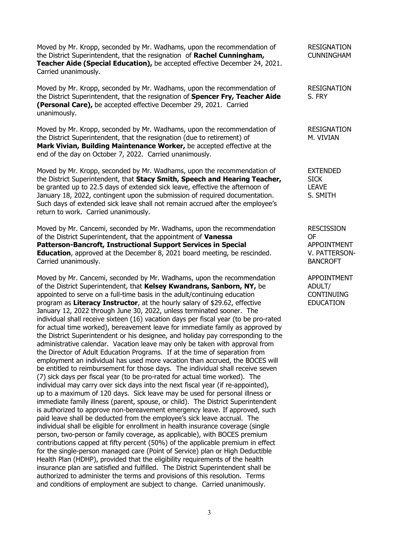Moved by Mr. Kropp, seconded by Mr. Wadhams, upon the recommendation of RESIGNATION the District Superintendent, that the resignation of **Rachel Cunningham,** CUNNINGHAM **Teacher Aide (Special Education),** be accepted effective December 24, 2021. Carried unanimously.

Moved by Mr. Kropp, seconded by Mr. Wadhams, upon the recommendation of RESIGNATION the District Superintendent, that the resignation of **Spencer Fry, Teacher Aide** S. FRY **(Personal Care),** be accepted effective December 29, 2021. Carried unanimously.

Moved by Mr. Kropp, seconded by Mr. Wadhams, upon the recommendation of RESIGNATION the District Superintendent, that the resignation (due to retirement) of M. VIVIAN **Mark Vivian, Building Maintenance Worker,** be accepted effective at the end of the day on October 7, 2022. Carried unanimously.

Moved by Mr. Kropp, seconded by Mr. Wadhams, upon the recommendation of EXTENDED the District Superintendent, that **Stacy Smith, Speech and Hearing Teacher,** SICK<br>be granted up to 22.5 days of extended sick leave, effective the afternoon of **LEAVE** be granted up to 22.5 days of extended sick leave, effective the afternoon of CLEAVE<br>January 18, 2022, contingent upon the submission of required documentation. January 18, 2022, contingent upon the submission of required documentation. Such days of extended sick leave shall not remain accrued after the employee's return to work. Carried unanimously.

Moved by Mr. Cancemi, seconded by Mr. Wadhams, upon the recommendation RESCISSION of the District Superintendent, that the appointment of **Vanessa** OF **Patterson-Bancroft, Instructional Support Services in Special** APPOINTMENT **Education**, approved at the December 8, 2021 board meeting, be rescinded. V. PATTERSON-Carried unanimously. BANCROFT

Moved by Mr. Cancemi, seconded by Mr. Wadhams, upon the recommendation APPOINTMENT<br>of the District Superintendent, that **Kelsey Kwandrans, Sanborn, NY,** be ADULT/ of the District Superintendent, that **Kelsey Kwandrans, Sanborn, NY,** be ADULT/<br>appointed to serve on a full-time basis in the adult/continuing education CONTINUING appointed to serve on a full-time basis in the adult/continuing education program as **Literacy Instructor**, at the hourly salary of \$29.62, effective EDUCATION January 12, 2022 through June 30, 2022, unless terminated sooner. The individual shall receive sixteen (16) vacation days per fiscal year (to be pro-rated for actual time worked), bereavement leave for immediate family as approved by the District Superintendent or his designee, and holiday pay corresponding to the administrative calendar. Vacation leave may only be taken with approval from the Director of Adult Education Programs. If at the time of separation from employment an individual has used more vacation than accrued, the BOCES will be entitled to reimbursement for those days. The individual shall receive seven (7) sick days per fiscal year (to be pro-rated for actual time worked). The individual may carry over sick days into the next fiscal year (if re-appointed), up to a maximum of 120 days. Sick leave may be used for personal illness or immediate family illness (parent, spouse, or child). The District Superintendent is authorized to approve non-bereavement emergency leave. If approved, such paid leave shall be deducted from the employee's sick leave accrual. The individual shall be eligible for enrollment in health insurance coverage (single person, two-person or family coverage, as applicable), with BOCES premium contributions capped at fifty percent (50%) of the applicable premium in effect for the single-person managed care (Point of Service) plan or High Deductible Health Plan (HDHP), provided that the eligibility requirements of the health insurance plan are satisfied and fulfilled. The District Superintendent shall be authorized to administer the terms and provisions of this resolution. Terms and conditions of employment are subject to change. Carried unanimously.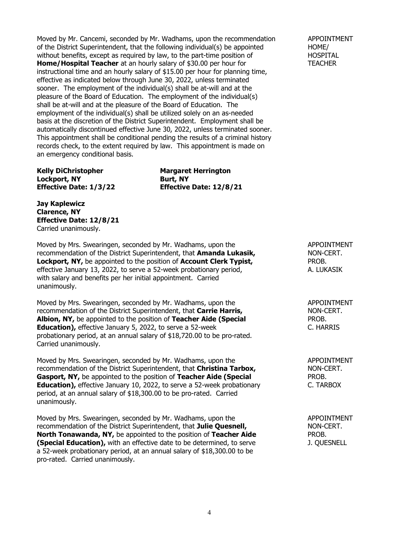Moved by Mr. Cancemi, seconded by Mr. Wadhams, upon the recommendation APPOINTMENT of the District Superintendent, that the following individual(s) be appointed HOME/ without benefits, except as required by law, to the part-time position of **home and the HOSPITAL**<br> **Home/Hospital Teacher** at an hourly salary of \$30.00 per hour for **hout the HOSPITAL Home/Hospital Teacher** at an hourly salary of \$30.00 per hour for instructional time and an hourly salary of \$15.00 per hour for planning time, effective as indicated below through June 30, 2022, unless terminated sooner. The employment of the individual(s) shall be at-will and at the pleasure of the Board of Education. The employment of the individual(s) shall be at-will and at the pleasure of the Board of Education. The employment of the individual(s) shall be utilized solely on an as-needed basis at the discretion of the District Superintendent. Employment shall be automatically discontinued effective June 30, 2022, unless terminated sooner. This appointment shall be conditional pending the results of a criminal history records check, to the extent required by law. This appointment is made on an emergency conditional basis.

**Kelly DiChristopher Margaret Herrington Lockport, NY**<br>**Effective Date: 1/3/22 Burt, NY** 

**Effective Date: 12/8/21** 

**Jay Kaplewicz Clarence, NY Effective Date: 12/8/21** Carried unanimously.

Moved by Mrs. Swearingen, seconded by Mr. Wadhams, upon the APPOINTMENT recommendation of the District Superintendent, that **Amanda Lukasik,** NON-CERT. **Lockport, NY,** be appointed to the position of **Account Clerk Typist,** FROB. effective January 13, 2022, to serve a 52-week probationary period, A. LUKASIK with salary and benefits per her initial appointment. Carried unanimously.

Moved by Mrs. Swearingen, seconded by Mr. Wadhams, upon the APPOINTMENT recommendation of the District Superintendent, that **Carrie Harris,** NON-CERT. **Albion, NY,** be appointed to the position of **Teacher Aide (Special** PROB. PROB.<br> **Education),** effective January 5, 2022, to serve a 52-week **Education),** effective January 5, 2022, to serve a 52-week probationary period, at an annual salary of \$18,720.00 to be pro-rated. Carried unanimously.

Moved by Mrs. Swearingen, seconded by Mr. Wadhams, upon the APPOINTMENT recommendation of the District Superintendent. that **Christina Tarbox.** NON-CERT. recommendation of the District Superintendent, that Christina Tarbox, **Gasport, NY,** be appointed to the position of **Teacher Aide (Special** PROB. **Education),** effective January 10, 2022, to serve a 52-week probationary C. TARBOX period, at an annual salary of \$18,300.00 to be pro-rated. Carried unanimously.

Moved by Mrs. Swearingen, seconded by Mr. Wadhams, upon the APPOINTMENT recommendation of the District Superintendent, that **Julie Quesnell,** NON-CERT. **North Tonawanda, NY,** be appointed to the position of **Teacher Aide** PROB.<br> **(Special Education),** with an effective date to be determined, to serve **PROB.** I. QUESNELL **(Special Education),** with an effective date to be determined, to serve a 52-week probationary period, at an annual salary of \$18,300.00 to be pro-rated. Carried unanimously.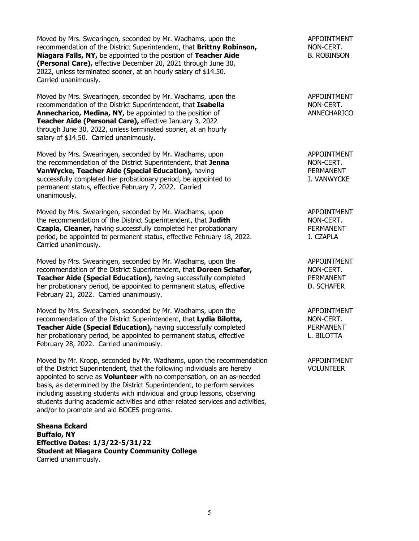Moved by Mrs. Swearingen, seconded by Mr. Wadhams, upon the APPOINTMENT recommendation of the District Superintendent, that **Brittny Robinson,** NON-CERT. **Niagara Falls, NY,** be appointed to the position of **Teacher Aide** B. ROBINSON **(Personal Care),** effective December 20, 2021 through June 30, 2022, unless terminated sooner, at an hourly salary of \$14.50. Carried unanimously.

Moved by Mrs. Swearingen, seconded by Mr. Wadhams, upon the APPOINTMENT APPOINTMENT<br>
recommendation of the District Superintendent. that **Isabella** recommendation of the District Superintendent, that **Isabella** NON-CERT.<br> **Annecharico, Medina, NY,** be appointed to the position of **NATILY ANNECHARICO Annecharico, Medina, NY, be appointed to the position of Teacher Aide (Personal Care),** effective January 3, 2022 through June 30, 2022, unless terminated sooner, at an hourly salary of \$14.50. Carried unanimously.

Moved by Mrs. Swearingen, seconded by Mr. Wadhams, upon APPOINTMENT the recommendation of the District Superintendent, that **Jenna** NON-CERT. **VanWycke, Teacher Aide (Special Education), having PERMANENT PERMANENT** successfully completed her probationary period, be appointed to  $\qquad \qquad$  J. VANWYCKE permanent status, effective February 7, 2022. Carried unanimously.

Moved by Mrs. Swearingen, seconded by Mr. Wadhams, upon APPOINTMENT the recommendation of the District Superintendent, that **Judith** NON-CERT. **Czapla, Cleaner,** having successfully completed her probationary **PERMANENT** period, be appointed to permanent status, effective February 18, 2022. J. CZAPLA Carried unanimously.

Moved by Mrs. Swearingen, seconded by Mr. Wadhams, upon the APPOINTMENT recommendation of the District Superintendent, that **Doreen Schafer,** Non-CERT.<br> **Teacher Aide (Special Education)**, having successfully completed The RERMANENT **Teacher Aide (Special Education),** having successfully completed PERMANENT<br>
Ner probationary period, be appointed to permanent status, effective **PERMANENT** her probationary period, be appointed to permanent status, effective February 21, 2022. Carried unanimously.

Moved by Mrs. Swearingen, seconded by Mr. Wadhams, upon the APPOINTMENT recommendation of the District Superintendent, that Lydia Bilotta, NON-CERT. **Teacher Aide (Special Education),** having successfully completed PERMANENT her probationary period, be appointed to permanent status, effective Theorem C. BILOTTA February 28, 2022. Carried unanimously.

Moved by Mr. Kropp, seconded by Mr. Wadhams, upon the recommendation APPOINTMENT<br>
of the District Superintendent, that the following individuals are hereby VOLUNTEER of the District Superintendent, that the following individuals are hereby appointed to serve as **Volunteer** with no compensation, on an as-needed basis, as determined by the District Superintendent, to perform services including assisting students with individual and group lessons, observing students during academic activities and other related services and activities, and/or to promote and aid BOCES programs.

**Sheana Eckard Buffalo, NY Effective Dates: 1/3/22-5/31/22 Student at Niagara County Community College** Carried unanimously.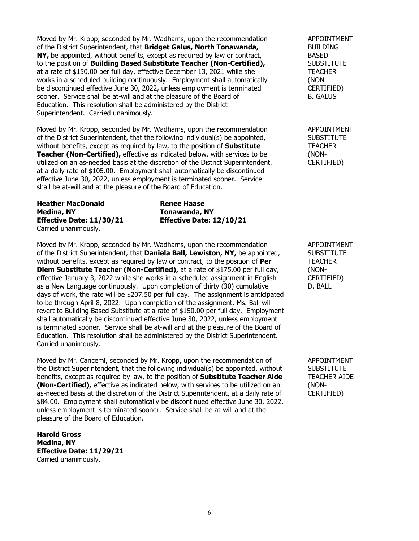Moved by Mr. Kropp, seconded by Mr. Wadhams, upon the recommendation APPOINTMENT of the District Superintendent, that **Bridget Galus, North Tonawanda,** BUILDING **NY,** be appointed, without benefits, except as required by law or contract, BASED by the position of **Building Based Substitute Teacher (Non-Certified)**, to the position of **Building Based Substitute Teacher (Non-Certified),** at a rate of \$150.00 per full day, effective December 13, 2021 while she TEACHER works in a scheduled building continuously. Employment shall automatically (NONbe discontinued effective June 30, 2022, unless employment is terminated CERTIFIED) sooner. Service shall be at-will and at the pleasure of the Board of B. GALUS Education. This resolution shall be administered by the District Superintendent. Carried unanimously.

Moved by Mr. Kropp, seconded by Mr. Wadhams, upon the recommendation APPOINTMENT of the District Superintendent, that the following individual(s) be appointed, SUBSTITUTE without benefits, except as required by law, to the position of **Substitute** TEACHER **Teacher (Non-Certified),** effective as indicated below, with services to be (NONutilized on an as-needed basis at the discretion of the District Superintendent, CERTIFIED) at a daily rate of \$105.00. Employment shall automatically be discontinued effective June 30, 2022, unless employment is terminated sooner. Service shall be at-will and at the pleasure of the Board of Education.

**Heather MacDonald Renee Haase**<br> **Medina, NY Renewanda, M Effective Date: 11/30/21 Effective Date: 12/10/21** Carried unanimously.

**Medina, NY Tonawanda, NY**

Moved by Mr. Kropp, seconded by Mr. Wadhams, upon the recommendation APPOINTMENT of the District Superintendent, that **Daniela Ball, Lewiston, NY**, be appointed, SUBSTITUTE without benefits, except as required by law or contract, to the position of **Per** TEACHER **Diem Substitute Teacher (Non-Certified),** at a rate of \$175.00 per full day, (NON-<br>effective January 3, 2022 while she works in a scheduled assignment in English CERTIFIED) effective January 3, 2022 while she works in a scheduled assignment in English CERTIFI<br>as a New Language continuously. Upon completion of thirty (30) cumulative D. BALL as a New Language continuously. Upon completion of thirty (30) cumulative days of work, the rate will be \$207.50 per full day. The assignment is anticipated to be through April 8, 2022. Upon completion of the assignment, Ms. Ball will revert to Building Based Substitute at a rate of \$150.00 per full day. Employment shall automatically be discontinued effective June 30, 2022, unless employment is terminated sooner. Service shall be at-will and at the pleasure of the Board of Education. This resolution shall be administered by the District Superintendent. Carried unanimously.

Moved by Mr. Cancemi, seconded by Mr. Kropp, upon the recommendation of APPOINTMENT<br>the District Superintendent, that the following individual(s) be appointed, without SUBSTITUTE the District Superintendent, that the following individual(s) be appointed, without benefits, except as required by law, to the position of **Substitute Teacher Aide** TEACHER AIDE **(Non-Certified),** effective as indicated below, with services to be utilized on an (NONas-needed basis at the discretion of the District Superintendent, at a daily rate of CERTIFIED) \$84.00. Employment shall automatically be discontinued effective June 30, 2022, unless employment is terminated sooner. Service shall be at-will and at the pleasure of the Board of Education.

**Harold Gross Medina, NY Effective Date: 11/29/21** Carried unanimously.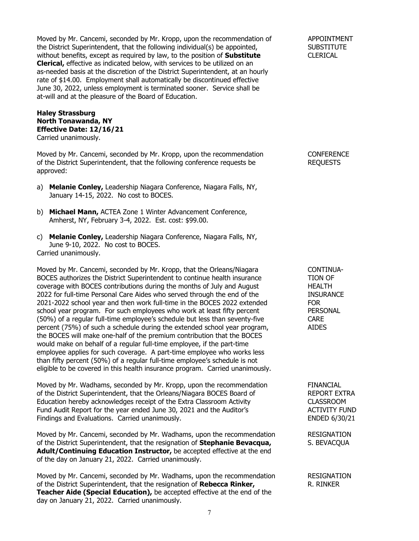Moved by Mr. Cancemi, seconded by Mr. Kropp, upon the recommendation of APPOINTMENT the District Superintendent, that the following individual(s) be appointed, SUBSTITUTE without benefits, except as required by law, to the position of **Substitute** CLERICAL **Clerical,** effective as indicated below, with services to be utilized on an as-needed basis at the discretion of the District Superintendent, at an hourly rate of \$14.00. Employment shall automatically be discontinued effective June 30, 2022, unless employment is terminated sooner. Service shall be at-will and at the pleasure of the Board of Education.

## **Haley Strassburg North Tonawanda, NY Effective Date: 12/16/21** Carried unanimously.

Moved by Mr. Cancemi, seconded by Mr. Kropp, upon the recommendation CONFERENCE of the District Superintendent, that the following conference requests be REQUESTS approved:

- a) **Melanie Conley,** Leadership Niagara Conference, Niagara Falls, NY, January 14-15, 2022. No cost to BOCES.
- b) **Michael Mann,** ACTEA Zone 1 Winter Advancement Conference, Amherst, NY, February 3-4, 2022. Est. cost: \$99.00.
- c) **Melanie Conley,** Leadership Niagara Conference, Niagara Falls, NY, June 9-10, 2022. No cost to BOCES. Carried unanimously.

Moved by Mr. Cancemi, seconded by Mr. Kropp, that the Orleans/Niagara CONTINUA-<br>BOCES authorizes the District Superintendent to continue health insurance TION OF BOCES authorizes the District Superintendent to continue health insurance TION OF coverage with BOCES contributions during the months of July and August coverage with BOCES contributions during the months of July and August 2022 for full-time Personal Care Aides who served through the end of the INSURANCE 2021-2022 school year and then work full-time in the BOCES 2022 extended FOR school year program. For such employees who work at least fifty percent PERSONAL (50%) of a regular full-time employee's schedule but less than seventy-five CARE percent (75%) of such a schedule during the extended school year program, AIDES the BOCES will make one-half of the premium contribution that the BOCES would make on behalf of a regular full-time employee, if the part-time employee applies for such coverage. A part-time employee who works less than fifty percent (50%) of a regular full-time employee's schedule is not eligible to be covered in this health insurance program. Carried unanimously.

Moved by Mr. Wadhams, seconded by Mr. Kropp, upon the recommendation FINANCIAL of the District Superintendent, that the Orleans/Niagara BOCES Board of REPORT EXTRA Education hereby acknowledges receipt of the Extra Classroom Activity CLASSROOM Fund Audit Report for the year ended June 30, 2021 and the Auditor's ACTIVITY FUND Findings and Evaluations. Carried unanimously. ENDED 6/30/21

Moved by Mr. Cancemi, seconded by Mr. Wadhams, upon the recommendation RESIGNATION of the District Superintendent, that the resignation of **Stephanie Bevacqua,** S. BEVACQUA of the District Superintendent, that the resignation of **Stephanie Bevacqua, Adult/Continuing Education Instructor,** be accepted effective at the end of the day on January 21, 2022. Carried unanimously.

Moved by Mr. Cancemi, seconded by Mr. Wadhams, upon the recommendation RESIGNATION of the District Superintendent, that the resignation of **Rebecca Rinker,** R. RINKER **Teacher Aide (Special Education),** be accepted effective at the end of the day on January 21, 2022. Carried unanimously.